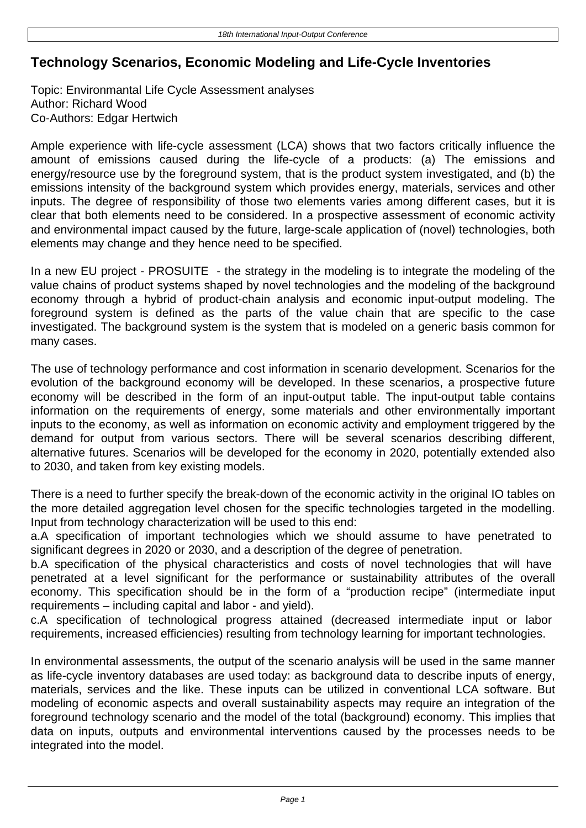## **Technology Scenarios, Economic Modeling and Life-Cycle Inventories**

Topic: Environmantal Life Cycle Assessment analyses Author: Richard Wood Co-Authors: Edgar Hertwich

Ample experience with life-cycle assessment (LCA) shows that two factors critically influence the amount of emissions caused during the life-cycle of a products: (a) The emissions and energy/resource use by the foreground system, that is the product system investigated, and (b) the emissions intensity of the background system which provides energy, materials, services and other inputs. The degree of responsibility of those two elements varies among different cases, but it is clear that both elements need to be considered. In a prospective assessment of economic activity and environmental impact caused by the future, large-scale application of (novel) technologies, both elements may change and they hence need to be specified.

In a new EU project - PROSUITE - the strategy in the modeling is to integrate the modeling of the value chains of product systems shaped by novel technologies and the modeling of the background economy through a hybrid of product-chain analysis and economic input-output modeling. The foreground system is defined as the parts of the value chain that are specific to the case investigated. The background system is the system that is modeled on a generic basis common for many cases.

The use of technology performance and cost information in scenario development. Scenarios for the evolution of the background economy will be developed. In these scenarios, a prospective future economy will be described in the form of an input-output table. The input-output table contains information on the requirements of energy, some materials and other environmentally important inputs to the economy, as well as information on economic activity and employment triggered by the demand for output from various sectors. There will be several scenarios describing different, alternative futures. Scenarios will be developed for the economy in 2020, potentially extended also to 2030, and taken from key existing models.

There is a need to further specify the break-down of the economic activity in the original IO tables on the more detailed aggregation level chosen for the specific technologies targeted in the modelling. Input from technology characterization will be used to this end:

a. A specification of important technologies which we should assume to have penetrated to significant degrees in 2020 or 2030, and a description of the degree of penetration.

b. A specification of the physical characteristics and costs of novel technologies that will have penetrated at a level significant for the performance or sustainability attributes of the overall economy. This specification should be in the form of a "production recipe" (intermediate input requirements – including capital and labor - and yield).

c. A specification of technological progress attained (decreased intermediate input or labor requirements, increased efficiencies) resulting from technology learning for important technologies.

In environmental assessments, the output of the scenario analysis will be used in the same manner as life-cycle inventory databases are used today: as background data to describe inputs of energy, materials, services and the like. These inputs can be utilized in conventional LCA software. But modeling of economic aspects and overall sustainability aspects may require an integration of the foreground technology scenario and the model of the total (background) economy. This implies that data on inputs, outputs and environmental interventions caused by the processes needs to be integrated into the model.